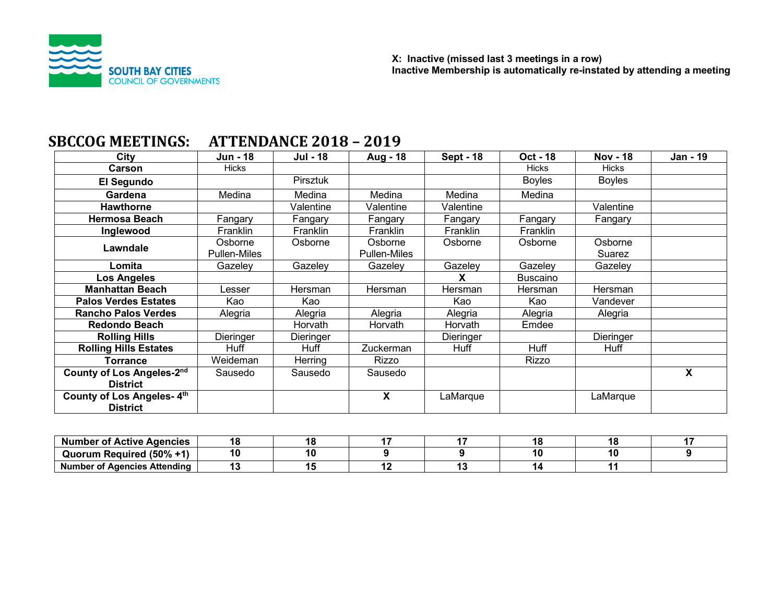

|                              |                     | ПІ І ДІІРІНІЧД ДО 10 |              |                  |                 |                 |                           |
|------------------------------|---------------------|----------------------|--------------|------------------|-----------------|-----------------|---------------------------|
| City                         | Jun - 18            | Jul - 18             | Aug - 18     | <b>Sept - 18</b> | Oct - 18        | <b>Nov - 18</b> | Jan - 19                  |
| <b>Carson</b>                | <b>Hicks</b>        |                      |              |                  | <b>Hicks</b>    | <b>Hicks</b>    |                           |
| El Segundo                   |                     | <b>Pirsztuk</b>      |              |                  | <b>Boyles</b>   | <b>Boyles</b>   |                           |
| Gardena                      | Medina              | Medina               | Medina       | Medina           | Medina          |                 |                           |
| <b>Hawthorne</b>             |                     | Valentine            | Valentine    | Valentine        |                 | Valentine       |                           |
| <b>Hermosa Beach</b>         | Fangary             | Fangary              | Fangary      | Fangary          | Fangary         | Fangary         |                           |
| Inglewood                    | Franklin            | Franklin             | Franklin     | Franklin         | Franklin        |                 |                           |
| Lawndale                     | Osborne             | Osborne              | Osborne      | Osborne          | Osborne         | Osborne         |                           |
|                              | <b>Pullen-Miles</b> |                      | Pullen-Miles |                  |                 | Suarez          |                           |
| Lomita                       | Gazeley             | Gazeley              | Gazeley      | Gazeley          | Gazeley         | Gazeley         |                           |
| Los Angeles                  |                     |                      |              | x                | <b>Buscaino</b> |                 |                           |
| <b>Manhattan Beach</b>       | _esser              | Hersman              | Hersman      | Hersman          | Hersman         | Hersman         |                           |
| <b>Palos Verdes Estates</b>  | Kao                 | Kao                  |              | Kao              | Kao             | Vandever        |                           |
| <b>Rancho Palos Verdes</b>   | Alegria             | Alegria              | Alegria      | Alegria          | Alegria         | Alegria         |                           |
| <b>Redondo Beach</b>         |                     | Horvath              | Horvath      | Horvath          | Emdee           |                 |                           |
| <b>Rolling Hills</b>         | Dieringer           | Dieringer            |              | Dieringer        |                 | Dieringer       |                           |
| <b>Rolling Hills Estates</b> | Huff                | Huff                 | Zuckerman    | Huff             | Huff            | Huff            |                           |
| <b>Torrance</b>              | Weideman            | Herring              | Rizzo        |                  | Rizzo           |                 |                           |
| County of Los Angeles-2nd    | Sausedo             | Sausedo              | Sausedo      |                  |                 |                 | $\boldsymbol{\mathsf{X}}$ |
| <b>District</b>              |                     |                      |              |                  |                 |                 |                           |
| County of Los Angeles-4th    |                     |                      | X            | LaMarque         |                 | LaMarque        |                           |
| <b>District</b>              |                     |                      |              |                  |                 |                 |                           |

# **SBCCOG MEETINGS: ATTENDANCE 2018 - 2019**

| : Agencies<br>Active<br>Nur<br>- OT          | 15 |  |    |  |
|----------------------------------------------|----|--|----|--|
| (50%<br><b>Required</b><br>Quorum            | 10 |  | ١Ü |  |
| . Agencies Attending<br><b>Number</b><br>ΉОΤ |    |  |    |  |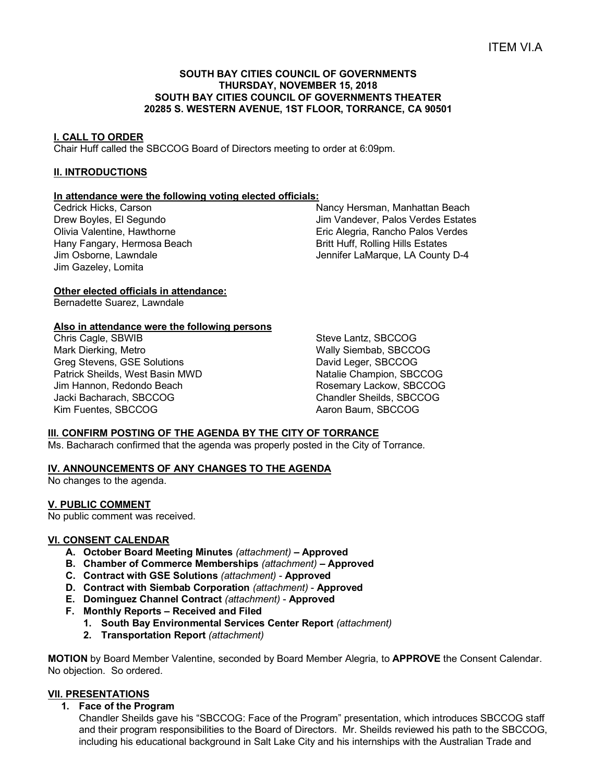## **SOUTH BAY CITIES COUNCIL OF GOVERNMENTS THURSDAY, NOVEMBER 15, 2018 SOUTH BAY CITIES COUNCIL OF GOVERNMENTS THEATER 20285 S. WESTERN AVENUE, 1ST FLOOR, TORRANCE, CA 90501**

#### **I. CALL TO ORDER**

Chair Huff called the SBCCOG Board of Directors meeting to order at 6:09pm.

## **II. INTRODUCTIONS**

#### **In attendance were the following voting elected officials:**

Cedrick Hicks, Carson Drew Boyles, El Segundo Olivia Valentine, Hawthorne Hany Fangary, Hermosa Beach Jim Osborne, Lawndale Jim Gazeley, Lomita

Nancy Hersman, Manhattan Beach Jim Vandever, Palos Verdes Estates Eric Alegria, Rancho Palos Verdes Britt Huff, Rolling Hills Estates Jennifer LaMarque, LA County D-4

## **Other elected officials in attendance:**

Bernadette Suarez, Lawndale

## **Also in attendance were the following persons**

Chris Cagle, SBWIB Mark Dierking, Metro Greg Stevens, GSE Solutions Patrick Sheilds, West Basin MWD Jim Hannon, Redondo Beach Jacki Bacharach, SBCCOG Kim Fuentes, SBCCOG

Steve Lantz, SBCCOG Wally Siembab, SBCCOG David Leger, SBCCOG Natalie Champion, SBCCOG Rosemary Lackow, SBCCOG Chandler Sheilds, SBCCOG Aaron Baum, SBCCOG

#### **III. CONFIRM POSTING OF THE AGENDA BY THE CITY OF TORRANCE**

Ms. Bacharach confirmed that the agenda was properly posted in the City of Torrance.

#### **IV. ANNOUNCEMENTS OF ANY CHANGES TO THE AGENDA**

No changes to the agenda.

#### **V. PUBLIC COMMENT**

No public comment was received.

#### **VI. CONSENT CALENDAR**

- **A. October Board Meeting Minutes** *(attachment) –* **Approved**
- **B. Chamber of Commerce Memberships** *(attachment)* **– Approved**
- **C. Contract with GSE Solutions** *(attachment)* **Approved**
- **D. Contract with Siembab Corporation** *(attachment)* **Approved**
- **E. Dominguez Channel Contract** *(attachment)* **Approved**
- **F. Monthly Reports – Received and Filed**
	- **1. South Bay Environmental Services Center Report** *(attachment)*
	- **2. Transportation Report** *(attachment)*

**MOTION** by Board Member Valentine, seconded by Board Member Alegria, to **APPROVE** the Consent Calendar. No objection. So ordered.

#### **VII. PRESENTATIONS**

**1. Face of the Program**

Chandler Sheilds gave his "SBCCOG: Face of the Program" presentation, which introduces SBCCOG staff and their program responsibilities to the Board of Directors. Mr. Sheilds reviewed his path to the SBCCOG, including his educational background in Salt Lake City and his internships with the Australian Trade and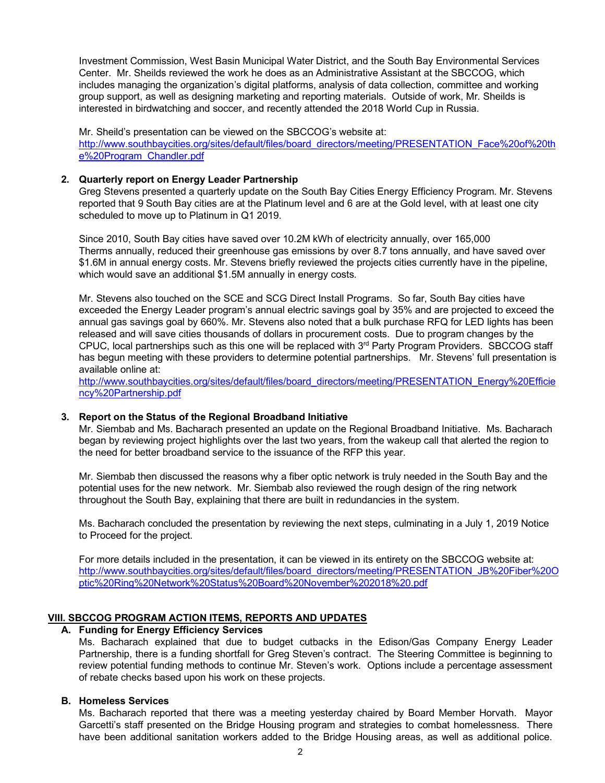Investment Commission, West Basin Municipal Water District, and the South Bay Environmental Services Center. Mr. Sheilds reviewed the work he does as an Administrative Assistant at the SBCCOG, which includes managing the organization's digital platforms, analysis of data collection, committee and working group support, as well as designing marketing and reporting materials. Outside of work, Mr. Sheilds is interested in birdwatching and soccer, and recently attended the 2018 World Cup in Russia.

Mr. Sheild's presentation can be viewed on the SBCCOG's website at: http://www.southbaycities.org/sites/default/files/board\_directors/meeting/PRESENTATION\_Face%20of%20th e%20Program\_Chandler.pdf

## **2. Quarterly report on Energy Leader Partnership**

Greg Stevens presented a quarterly update on the South Bay Cities Energy Efficiency Program. Mr. Stevens reported that 9 South Bay cities are at the Platinum level and 6 are at the Gold level, with at least one city scheduled to move up to Platinum in Q1 2019.

Since 2010, South Bay cities have saved over 10.2M kWh of electricity annually, over 165,000 Therms annually, reduced their greenhouse gas emissions by over 8.7 tons annually, and have saved over \$1.6M in annual energy costs. Mr. Stevens briefly reviewed the projects cities currently have in the pipeline, which would save an additional \$1.5M annually in energy costs.

Mr. Stevens also touched on the SCE and SCG Direct Install Programs. So far, South Bay cities have exceeded the Energy Leader program's annual electric savings goal by 35% and are projected to exceed the annual gas savings goal by 660%. Mr. Stevens also noted that a bulk purchase RFQ for LED lights has been released and will save cities thousands of dollars in procurement costs. Due to program changes by the CPUC, local partnerships such as this one will be replaced with 3<sup>rd</sup> Party Program Providers. SBCCOG staff has begun meeting with these providers to determine potential partnerships. Mr. Stevens' full presentation is available online at:

http://www.southbaycities.org/sites/default/files/board\_directors/meeting/PRESENTATION\_Energy%20Efficie ncy%20Partnership.pdf

#### **3. Report on the Status of the Regional Broadband Initiative**

Mr. Siembab and Ms. Bacharach presented an update on the Regional Broadband Initiative. Ms. Bacharach began by reviewing project highlights over the last two years, from the wakeup call that alerted the region to the need for better broadband service to the issuance of the RFP this year.

Mr. Siembab then discussed the reasons why a fiber optic network is truly needed in the South Bay and the potential uses for the new network. Mr. Siembab also reviewed the rough design of the ring network throughout the South Bay, explaining that there are built in redundancies in the system.

Ms. Bacharach concluded the presentation by reviewing the next steps, culminating in a July 1, 2019 Notice to Proceed for the project.

For more details included in the presentation, it can be viewed in its entirety on the SBCCOG website at: http://www.southbaycities.org/sites/default/files/board\_directors/meeting/PRESENTATION\_JB%20Fiber%20O ptic%20Ring%20Network%20Status%20Board%20November%202018%20.pdf

#### **VIII. SBCCOG PROGRAM ACTION ITEMS, REPORTS AND UPDATES**

#### **A. Funding for Energy Efficiency Services**

Ms. Bacharach explained that due to budget cutbacks in the Edison/Gas Company Energy Leader Partnership, there is a funding shortfall for Greg Steven's contract. The Steering Committee is beginning to review potential funding methods to continue Mr. Steven's work. Options include a percentage assessment of rebate checks based upon his work on these projects.

## **B. Homeless Services**

Ms. Bacharach reported that there was a meeting yesterday chaired by Board Member Horvath. Mayor Garcetti's staff presented on the Bridge Housing program and strategies to combat homelessness. There have been additional sanitation workers added to the Bridge Housing areas, as well as additional police.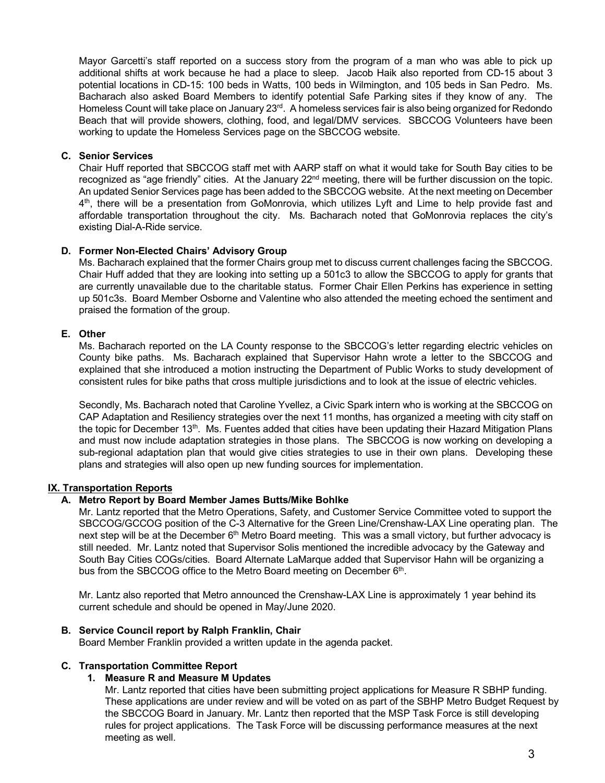Mayor Garcetti's staff reported on a success story from the program of a man who was able to pick up additional shifts at work because he had a place to sleep. Jacob Haik also reported from CD-15 about 3 potential locations in CD-15: 100 beds in Watts, 100 beds in Wilmington, and 105 beds in San Pedro. Ms. Bacharach also asked Board Members to identify potential Safe Parking sites if they know of any. The Homeless Count will take place on January 23<sup>rd</sup>. A homeless services fair is also being organized for Redondo Beach that will provide showers, clothing, food, and legal/DMV services. SBCCOG Volunteers have been working to update the Homeless Services page on the SBCCOG website.

## **C. Senior Services**

Chair Huff reported that SBCCOG staff met with AARP staff on what it would take for South Bay cities to be recognized as "age friendly" cities. At the January 22<sup>nd</sup> meeting, there will be further discussion on the topic. An updated Senior Services page has been added to the SBCCOG website. At the next meeting on December 4th, there will be a presentation from GoMonrovia, which utilizes Lyft and Lime to help provide fast and affordable transportation throughout the city. Ms. Bacharach noted that GoMonrovia replaces the city's existing Dial-A-Ride service.

## **D. Former Non-Elected Chairs' Advisory Group**

Ms. Bacharach explained that the former Chairs group met to discuss current challenges facing the SBCCOG. Chair Huff added that they are looking into setting up a 501c3 to allow the SBCCOG to apply for grants that are currently unavailable due to the charitable status. Former Chair Ellen Perkins has experience in setting up 501c3s. Board Member Osborne and Valentine who also attended the meeting echoed the sentiment and praised the formation of the group.

## **E. Other**

Ms. Bacharach reported on the LA County response to the SBCCOG's letter regarding electric vehicles on County bike paths. Ms. Bacharach explained that Supervisor Hahn wrote a letter to the SBCCOG and explained that she introduced a motion instructing the Department of Public Works to study development of consistent rules for bike paths that cross multiple jurisdictions and to look at the issue of electric vehicles.

Secondly, Ms. Bacharach noted that Caroline Yvellez, a Civic Spark intern who is working at the SBCCOG on CAP Adaptation and Resiliency strategies over the next 11 months, has organized a meeting with city staff on the topic for December 13<sup>th</sup>. Ms. Fuentes added that cities have been updating their Hazard Mitigation Plans and must now include adaptation strategies in those plans. The SBCCOG is now working on developing a sub-regional adaptation plan that would give cities strategies to use in their own plans. Developing these plans and strategies will also open up new funding sources for implementation.

#### **IX. Transportation Reports**

## **A. Metro Report by Board Member James Butts/Mike Bohlke**

Mr. Lantz reported that the Metro Operations, Safety, and Customer Service Committee voted to support the SBCCOG/GCCOG position of the C-3 Alternative for the Green Line/Crenshaw-LAX Line operating plan. The next step will be at the December 6<sup>th</sup> Metro Board meeting. This was a small victory, but further advocacy is still needed. Mr. Lantz noted that Supervisor Solis mentioned the incredible advocacy by the Gateway and South Bay Cities COGs/cities. Board Alternate LaMarque added that Supervisor Hahn will be organizing a bus from the SBCCOG office to the Metro Board meeting on December 6<sup>th</sup>.

Mr. Lantz also reported that Metro announced the Crenshaw-LAX Line is approximately 1 year behind its current schedule and should be opened in May/June 2020.

#### **B. Service Council report by Ralph Franklin, Chair**

Board Member Franklin provided a written update in the agenda packet.

#### **C. Transportation Committee Report**

#### **1. Measure R and Measure M Updates**

Mr. Lantz reported that cities have been submitting project applications for Measure R SBHP funding. These applications are under review and will be voted on as part of the SBHP Metro Budget Request by the SBCCOG Board in January. Mr. Lantz then reported that the MSP Task Force is still developing rules for project applications. The Task Force will be discussing performance measures at the next meeting as well.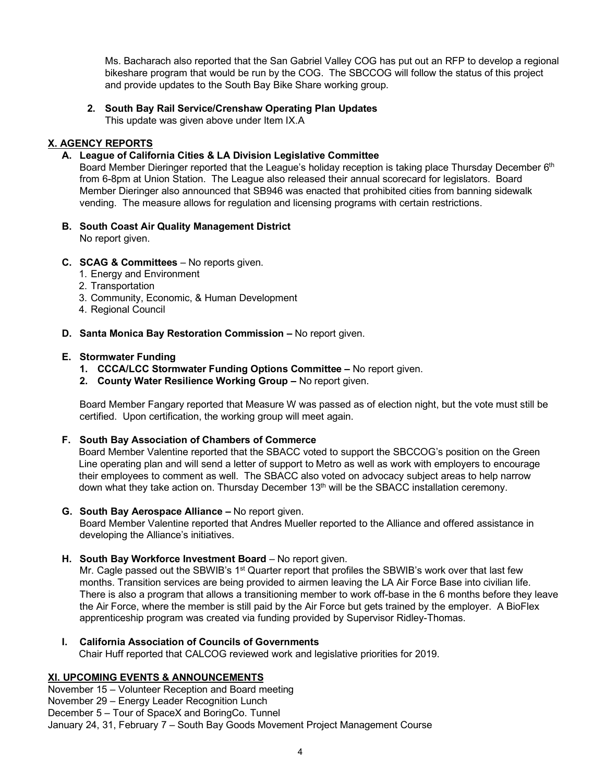Ms. Bacharach also reported that the San Gabriel Valley COG has put out an RFP to develop a regional bikeshare program that would be run by the COG. The SBCCOG will follow the status of this project and provide updates to the South Bay Bike Share working group.

# **2. South Bay Rail Service/Crenshaw Operating Plan Updates**

This update was given above under Item IX.A

# **X. AGENCY REPORTS**

# **A. League of California Cities & LA Division Legislative Committee**

Board Member Dieringer reported that the League's holiday reception is taking place Thursday December 6<sup>th</sup> from 6-8pm at Union Station. The League also released their annual scorecard for legislators. Board Member Dieringer also announced that SB946 was enacted that prohibited cities from banning sidewalk vending. The measure allows for regulation and licensing programs with certain restrictions.

- **B. South Coast Air Quality Management District** No report given.
- **C. SCAG & Committees** No reports given.
	- 1. Energy and Environment
	- 2. Transportation
	- 3. Community, Economic, & Human Development
	- 4. Regional Council

## **D. Santa Monica Bay Restoration Commission –** No report given.

## **E. Stormwater Funding**

- **1. CCCA/LCC Stormwater Funding Options Committee –** No report given.
- **2. County Water Resilience Working Group –** No report given.

Board Member Fangary reported that Measure W was passed as of election night, but the vote must still be certified. Upon certification, the working group will meet again.

## **F. South Bay Association of Chambers of Commerce**

Board Member Valentine reported that the SBACC voted to support the SBCCOG's position on the Green Line operating plan and will send a letter of support to Metro as well as work with employers to encourage their employees to comment as well. The SBACC also voted on advocacy subject areas to help narrow down what they take action on. Thursday December 13<sup>th</sup> will be the SBACC installation ceremony.

## **G. South Bay Aerospace Alliance –** No report given.

Board Member Valentine reported that Andres Mueller reported to the Alliance and offered assistance in developing the Alliance's initiatives.

# **H. South Bay Workforce Investment Board** – No report given.

Mr. Cagle passed out the SBWIB's 1<sup>st</sup> Quarter report that profiles the SBWIB's work over that last few months. Transition services are being provided to airmen leaving the LA Air Force Base into civilian life. There is also a program that allows a transitioning member to work off-base in the 6 months before they leave the Air Force, where the member is still paid by the Air Force but gets trained by the employer. A BioFlex apprenticeship program was created via funding provided by Supervisor Ridley-Thomas.

# **I. California Association of Councils of Governments** Chair Huff reported that CALCOG reviewed work and legislative priorities for 2019.

# **XI. UPCOMING EVENTS & ANNOUNCEMENTS**

November 15 – Volunteer Reception and Board meeting

November 29 – Energy Leader Recognition Lunch

December 5 – Tour of SpaceX and BoringCo. Tunnel

January 24, 31, February 7 – South Bay Goods Movement Project Management Course